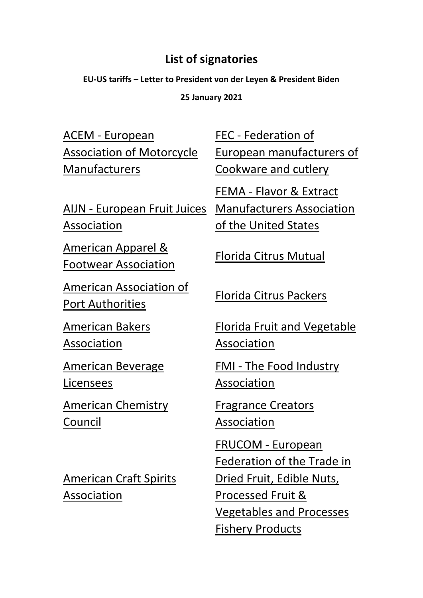## **List of signatories**

**EU-US tariffs – Letter to President von der Leyen & President Biden**

**25 January 2021**

ACEM - [European](https://www.acem.eu/)  [Association of Motorcycle](https://www.acem.eu/)  [Manufacturers](https://www.acem.eu/)

AIJN - [European Fruit Juices](https://aijn.eu/en)  [Association](https://aijn.eu/en)

[American Apparel &](https://www.aafaglobal.org/)  [Footwear Association](https://www.aafaglobal.org/)

[American Association of](https://www.aapa-ports.org/)  **[Port Authorities](https://www.aapa-ports.org/)** [Florida Citrus Packers](http://www.flcitruspackers.org/)

[American Bakers](https://americanbakers.org/)  [Association](https://americanbakers.org/)

[American Beverage](https://ablusa.org/)  [Licensees](https://ablusa.org/) 

[American Chemistry](https://www.americanchemistry.com/default.aspx)  [Council](https://www.americanchemistry.com/default.aspx)

[American Craft Spirits](https://americancraftspirits.org/)  [Association](https://americancraftspirits.org/)

FEC - [Federation of](https://fecassociation.eu/)  [European manufacturers of](https://fecassociation.eu/)  [Cookware and cutlery](https://fecassociation.eu/)

FEMA - [Flavor & Extract](https://www.femaflavor.org/)  [Manufacturers Association](https://www.femaflavor.org/)  [of the United States](https://www.femaflavor.org/)

[Florida Citrus Mutual](http://flcitrusmutual.com/)

[Florida Fruit and Vegetable](https://www.ffva.com/)  [Association](https://www.ffva.com/)

FMI - [The Food Industry](https://www.fmi.org/)  [Association](https://www.fmi.org/)

[Fragrance Creators](https://www.fragrancecreators.org/)  [Association](https://www.fragrancecreators.org/) 

[FRUCOM -](https://frucom.eu/) European [Federation of the Trade in](https://frucom.eu/)  [Dried Fruit, Edible Nuts,](https://frucom.eu/)  [Processed Fruit &](https://frucom.eu/)  [Vegetables and Processes](https://frucom.eu/)  [Fishery Products](https://frucom.eu/)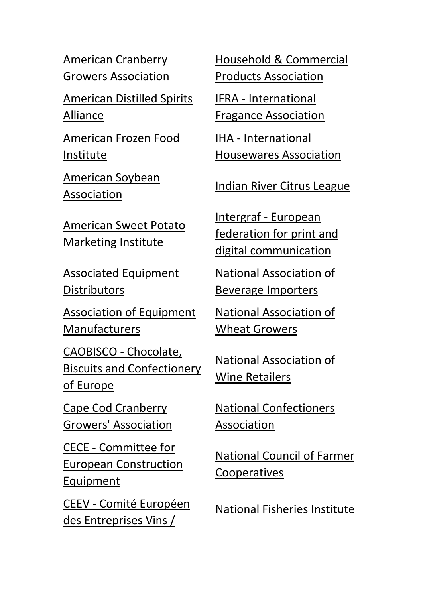American Cranberry Growers Association

[American Distilled Spirits](https://www.americandistilledspirits.org/)  [Alliance](https://www.americandistilledspirits.org/)

[American Frozen Food](https://affi.org/)  [Institute](https://affi.org/)

[American Soybean](https://soygrowers.com/)  [Association](https://soygrowers.com/)

[American Sweet Potato](https://americansweetpotato.org/)  [Marketing Institute](https://americansweetpotato.org/)

[Associated Equipment](https://aednet.org/)  **[Distributors](https://aednet.org/)** 

[Association of Equipment](https://www.aem.org/)  [Manufacturers](https://www.aem.org/)

[CAOBISCO -](http://caobisco.eu/) Chocolate, [Biscuits and Confectionery](http://caobisco.eu/)  [of Europe](http://caobisco.eu/)

[Cape Cod Cranberry](https://www.cranberries.org/)  [Growers' Association](https://www.cranberries.org/)

CECE - [Committee for](https://www.cece.eu/home)  [European Construction](https://www.cece.eu/home)  [Equipment](https://www.cece.eu/home)

CEEV - [Comité Européen](https://www.ceev.eu/)  [des Entreprises Vins /](https://www.ceev.eu/) 

[Household & Commercial](https://www.thehcpa.org/)  [Products Association](https://www.thehcpa.org/)

IFRA - [International](https://ifrafragrance.org/)  [Fragance Association](https://ifrafragrance.org/)

IHA - [International](https://www.housewares.org/)  [Housewares Association](https://www.housewares.org/)

[Indian River Citrus League](http://ircitrusleague.org/)

Intergraf - [European](https://www.intergraf.eu/)  [federation for print and](https://www.intergraf.eu/)  [digital communication](https://www.intergraf.eu/)

[National Association of](https://www.bevimporters.org/)  [Beverage Importers](https://www.bevimporters.org/) 

[National Association of](https://www.wheatworld.org/)  [Wheat Growers](https://www.wheatworld.org/)

[National Association of](https://nawr.org/)  [Wine Retailers](https://nawr.org/)

[National Confectioners](https://candyusa.com/)  [Association](https://candyusa.com/)

[National Council of Farmer](http://ncfc.org/)  [Cooperatives](http://ncfc.org/)

[National Fisheries Institute](https://aboutseafood.com/)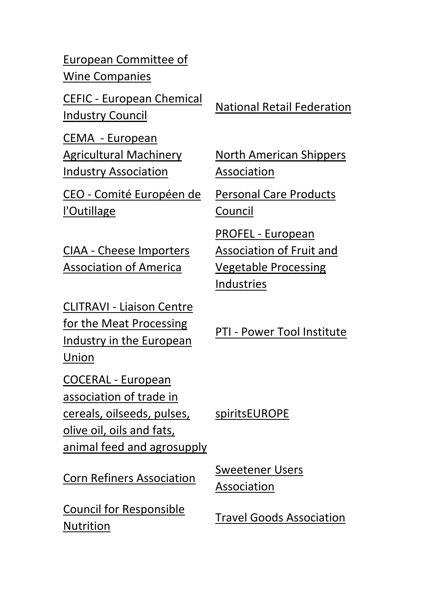[European Committee of](https://www.ceev.eu/)  [Wine Companies](https://www.ceev.eu/)

CEFIC - [European Chemical](https://cefic.org/)  <u>Industry Council</u> [National Retail Federation](https://nrf.com/)

CEMA - [European](https://www.cema-agri.org/)  [Agricultural Machinery](https://www.cema-agri.org/)  [Industry Association](https://www.cema-agri.org/)

CEO - [Comité Européen de](http://ceo-tools.com/)  [l'Outillage](http://ceo-tools.com/) 

CIAA - Cheese Importers Association of America

CLITRAVI - [Liaison Centre](http://www.clitravi.com/)  [for the Meat Processing](http://www.clitravi.com/)  [Industry in the European](http://www.clitravi.com/)  [Union](http://www.clitravi.com/) 

COCERAL - European association of trade in cereals, oilseeds, pulses, olive oil, oils and fats, animal feed and agrosupply

[Corn Refiners Association](https://corn.org/) Sweetener Users

[Council for Responsible](https://www.crnusa.org/)  [Nutrition](https://www.crnusa.org/)

North American Shippers Association

[Personal Care Products](https://www.personalcarecouncil.org/)  [Council](https://www.personalcarecouncil.org/)

PROFEL - [European](https://profel-europe.eu/)  [Association of Fruit and](https://profel-europe.eu/)  [Vegetable Processing](https://profel-europe.eu/)  [Industries](https://profel-europe.eu/)

PTI - [Power Tool Institute](http://www.powertoolinstitute.com/)

[spiritsEUROPE](https://spirits.eu/)

[Association](https://sweetenerusers.org/)

[Travel Goods Association](https://travel-goods.org/)